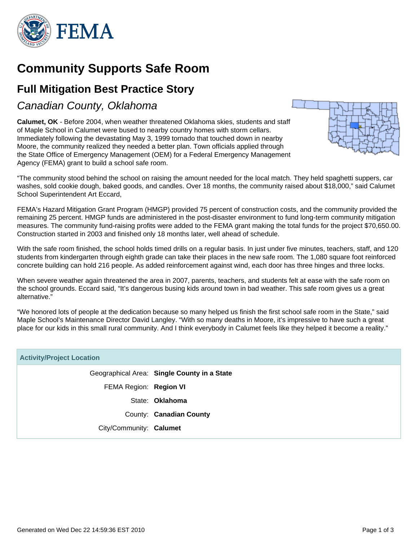

## **Community Supports Safe Room**

## **Full Mitigation Best Practice Story**

Canadian County, Oklahoma

**Calumet, OK** - Before 2004, when weather threatened Oklahoma skies, students and staff of Maple School in Calumet were bused to nearby country homes with storm cellars. Immediately following the devastating May 3, 1999 tornado that touched down in nearby Moore, the community realized they needed a better plan. Town officials applied through the State Office of Emergency Management (OEM) for a Federal Emergency Management Agency (FEMA) grant to build a school safe room.



"The community stood behind the school on raising the amount needed for the local match. They held spaghetti suppers, car washes, sold cookie dough, baked goods, and candles. Over 18 months, the community raised about \$18,000," said Calumet School Superintendent Art Eccard,

FEMA's Hazard Mitigation Grant Program (HMGP) provided 75 percent of construction costs, and the community provided the remaining 25 percent. HMGP funds are administered in the post-disaster environment to fund long-term community mitigation measures. The community fund-raising profits were added to the FEMA grant making the total funds for the project \$70,650.00. Construction started in 2003 and finished only 18 months later, well ahead of schedule.

With the safe room finished, the school holds timed drills on a regular basis. In just under five minutes, teachers, staff, and 120 students from kindergarten through eighth grade can take their places in the new safe room. The 1,080 square foot reinforced concrete building can hold 216 people. As added reinforcement against wind, each door has three hinges and three locks.

When severe weather again threatened the area in 2007, parents, teachers, and students felt at ease with the safe room on the school grounds. Eccard said, "It's dangerous busing kids around town in bad weather. This safe room gives us a great alternative."

"We honored lots of people at the dedication because so many helped us finish the first school safe room in the State," said Maple School's Maintenance Director David Langley. "With so many deaths in Moore, it's impressive to have such a great place for our kids in this small rural community. And I think everybody in Calumet feels like they helped it become a reality."

| <b>Activity/Project Location</b> |                                             |  |
|----------------------------------|---------------------------------------------|--|
|                                  | Geographical Area: Single County in a State |  |
| FEMA Region: Region VI           |                                             |  |
|                                  | State: Oklahoma                             |  |
|                                  | County: Canadian County                     |  |
| City/Community: Calumet          |                                             |  |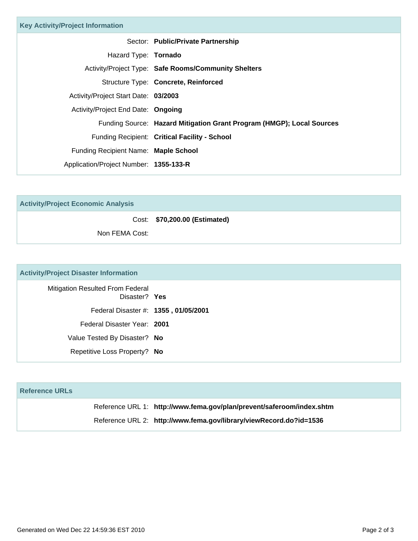| <b>Key Activity/Project Information</b> |                                                                       |
|-----------------------------------------|-----------------------------------------------------------------------|
|                                         | Sector: Public/Private Partnership                                    |
| Hazard Type: <b>Tornado</b>             |                                                                       |
|                                         | <b>Activity/Project Type: Safe Rooms/Community Shelters</b>           |
|                                         | Structure Type: Concrete, Reinforced                                  |
| Activity/Project Start Date: 03/2003    |                                                                       |
| Activity/Project End Date: Ongoing      |                                                                       |
|                                         | Funding Source: Hazard Mitigation Grant Program (HMGP); Local Sources |
|                                         | Funding Recipient: Critical Facility - School                         |
| Funding Recipient Name: Maple School    |                                                                       |
| Application/Project Number: 1355-133-R  |                                                                       |

**Activity/Project Economic Analysis**

Cost: **\$70,200.00 (Estimated)**

Non FEMA Cost:

## **Activity/Project Disaster Information**

| Mitigation Resulted From Federal<br>Disaster? Yes |
|---------------------------------------------------|
| Federal Disaster #: 1355, 01/05/2001              |
| Federal Disaster Year: 2001                       |
| Value Tested By Disaster? No                      |
| Repetitive Loss Property? No                      |

| <b>Reference URLs</b> |                                                                       |
|-----------------------|-----------------------------------------------------------------------|
|                       | Reference URL 1: http://www.fema.gov/plan/prevent/saferoom/index.shtm |
|                       | Reference URL 2: http://www.fema.gov/library/viewRecord.do?id=1536    |